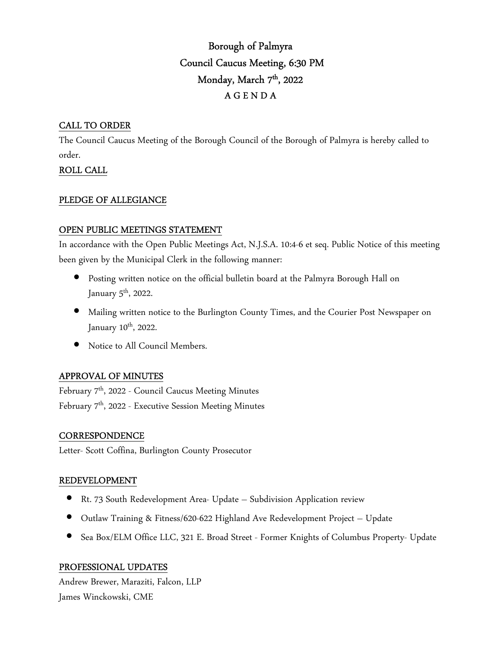# Borough of Palmyra Council Caucus Meeting, 6:30 PM Monday, March 7<sup>th</sup>, 2022 A G E N D A

## CALL TO ORDER

The Council Caucus Meeting of the Borough Council of the Borough of Palmyra is hereby called to order.

## ROLL CALL

#### PLEDGE OF ALLEGIANCE

#### OPEN PUBLIC MEETINGS STATEMENT

In accordance with the Open Public Meetings Act, N.J.S.A. 10:4-6 et seq. Public Notice of this meeting been given by the Municipal Clerk in the following manner:

- Posting written notice on the official bulletin board at the Palmyra Borough Hall on January  $5^{\text{th}}$ , 2022.
- Mailing written notice to the Burlington County Times, and the Courier Post Newspaper on January 10<sup>th</sup>, 2022.
- Notice to All Council Members.

## APPROVAL OF MINUTES

February 7<sup>th</sup>, 2022 - Council Caucus Meeting Minutes February 7th, 2022 - Executive Session Meeting Minutes

## **CORRESPONDENCE**

Letter- Scott Coffina, Burlington County Prosecutor

#### REDEVELOPMENT

- Rt. 73 South Redevelopment Area- Update Subdivision Application review
- Outlaw Training & Fitness/620-622 Highland Ave Redevelopment Project Update
- Sea Box/ELM Office LLC, 321 E. Broad Street Former Knights of Columbus Property- Update

## PROFESSIONAL UPDATES

Andrew Brewer, Maraziti, Falcon, LLP James Winckowski, CME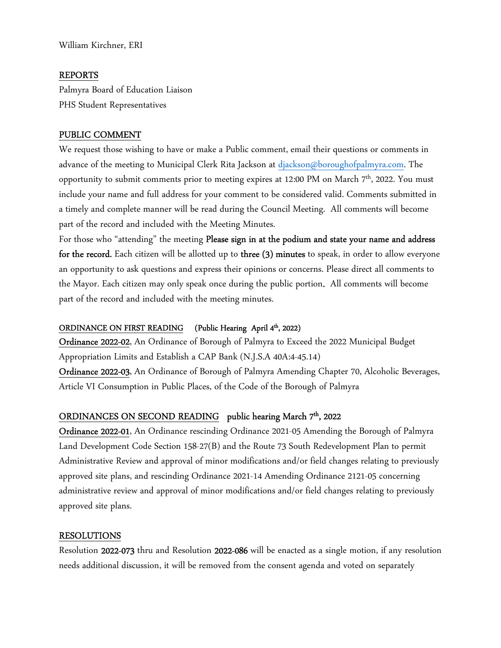William Kirchner, ERI

#### REPORTS

Palmyra Board of Education Liaison PHS Student Representatives

#### PUBLIC COMMENT

We request those wishing to have or make a Public comment, email their questions or comments in advance of the meeting to Municipal Clerk Rita Jackson at djackson@boroughofpalmyra.com. The opportunity to submit comments prior to meeting expires at 12:00 PM on March 7<sup>th</sup>, 2022. You must include your name and full address for your comment to be considered valid. Comments submitted in a timely and complete manner will be read during the Council Meeting. All comments will become part of the record and included with the Meeting Minutes.

For those who "attending" the meeting Please sign in at the podium and state your name and address for the record. Each citizen will be allotted up to three (3) minutes to speak, in order to allow everyone an opportunity to ask questions and express their opinions or concerns. Please direct all comments to the Mayor. Each citizen may only speak once during the public portion. All comments will become part of the record and included with the meeting minutes.

## ORDINANCE ON FIRST READING (Public Hearing April 4th, 2022)

Ordinance 2022-02, An Ordinance of Borough of Palmyra to Exceed the 2022 Municipal Budget Appropriation Limits and Establish a CAP Bank (N.J.S.A 40A:4-45.14)

Ordinance 2022-03, An Ordinance of Borough of Palmyra Amending Chapter 70, Alcoholic Beverages, Article VI Consumption in Public Places, of the Code of the Borough of Palmyra

#### ORDINANCES ON SECOND READING public hearing March 7<sup>th</sup>, 2022

Ordinance 2022-01, An Ordinance rescinding Ordinance 2021-05 Amending the Borough of Palmyra Land Development Code Section 158-27(B) and the Route 73 South Redevelopment Plan to permit Administrative Review and approval of minor modifications and/or field changes relating to previously approved site plans, and rescinding Ordinance 2021-14 Amending Ordinance 2121-05 concerning administrative review and approval of minor modifications and/or field changes relating to previously approved site plans.

#### RESOLUTIONS

Resolution 2022-073 thru and Resolution 2022-086 will be enacted as a single motion, if any resolution needs additional discussion, it will be removed from the consent agenda and voted on separately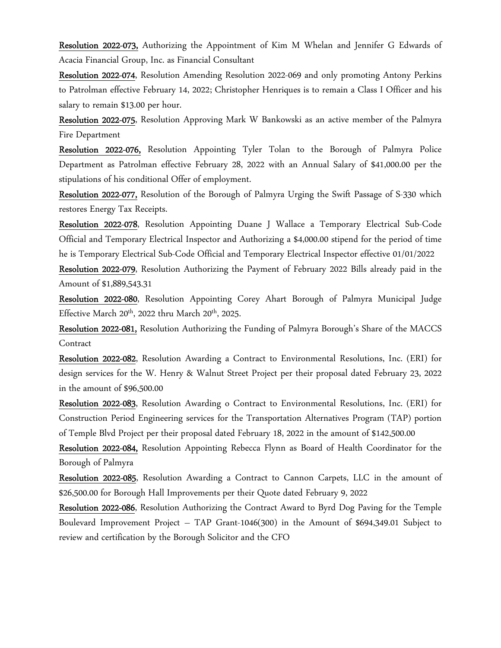Resolution 2022-073, Authorizing the Appointment of Kim M Whelan and Jennifer G Edwards of Acacia Financial Group, Inc. as Financial Consultant

Resolution 2022-074, Resolution Amending Resolution 2022-069 and only promoting Antony Perkins to Patrolman effective February 14, 2022; Christopher Henriques is to remain a Class I Officer and his salary to remain \$13.00 per hour.

Resolution 2022-075, Resolution Approving Mark W Bankowski as an active member of the Palmyra Fire Department

Resolution 2022-076, Resolution Appointing Tyler Tolan to the Borough of Palmyra Police Department as Patrolman effective February 28, 2022 with an Annual Salary of \$41,000.00 per the stipulations of his conditional Offer of employment.

Resolution 2022-077, Resolution of the Borough of Palmyra Urging the Swift Passage of S-330 which restores Energy Tax Receipts.

Resolution 2022-078, Resolution Appointing Duane J Wallace a Temporary Electrical Sub-Code Official and Temporary Electrical Inspector and Authorizing a \$4,000.00 stipend for the period of time he is Temporary Electrical Sub-Code Official and Temporary Electrical Inspector effective 01/01/2022

Resolution 2022-079, Resolution Authorizing the Payment of February 2022 Bills already paid in the Amount of \$1,889,543.31

Resolution 2022-080, Resolution Appointing Corey Ahart Borough of Palmyra Municipal Judge Effective March  $20^{th}$ , 2022 thru March  $20^{th}$ , 2025.

Resolution 2022-081, Resolution Authorizing the Funding of Palmyra Borough's Share of the MACCS Contract

Resolution 2022-082, Resolution Awarding a Contract to Environmental Resolutions, Inc. (ERI) for design services for the W. Henry & Walnut Street Project per their proposal dated February 23, 2022 in the amount of \$96,500.00

Resolution 2022-083, Resolution Awarding o Contract to Environmental Resolutions, Inc. (ERI) for Construction Period Engineering services for the Transportation Alternatives Program (TAP) portion of Temple Blvd Project per their proposal dated February 18, 2022 in the amount of \$142,500.00

Resolution 2022-084, Resolution Appointing Rebecca Flynn as Board of Health Coordinator for the Borough of Palmyra

Resolution 2022-085, Resolution Awarding a Contract to Cannon Carpets, LLC in the amount of \$26,500.00 for Borough Hall Improvements per their Quote dated February 9, 2022

Resolution 2022-086, Resolution Authorizing the Contract Award to Byrd Dog Paving for the Temple Boulevard Improvement Project – TAP Grant-1046(300) in the Amount of \$694,349.01 Subject to review and certification by the Borough Solicitor and the CFO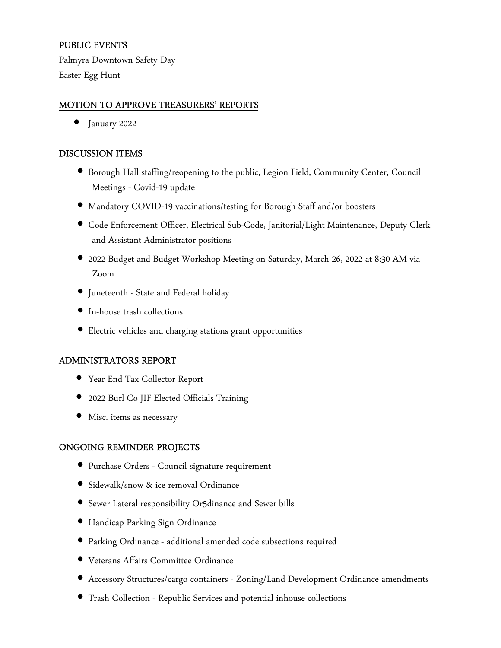## PUBLIC EVENTS

Palmyra Downtown Safety Day Easter Egg Hunt

### MOTION TO APPROVE TREASURERS' REPORTS

• January 2022

#### DISCUSSION ITEMS

- Borough Hall staffing/reopening to the public, Legion Field, Community Center, Council Meetings - Covid-19 update
- Mandatory COVID-19 vaccinations/testing for Borough Staff and/or boosters
- Code Enforcement Officer, Electrical Sub-Code, Janitorial/Light Maintenance, Deputy Clerk and Assistant Administrator positions
- 2022 Budget and Budget Workshop Meeting on Saturday, March 26, 2022 at 8:30 AM via Zoom
- Juneteenth State and Federal holiday
- In-house trash collections
- Electric vehicles and charging stations grant opportunities

#### ADMINISTRATORS REPORT

- Year End Tax Collector Report
- 2022 Burl Co JIF Elected Officials Training
- Misc. items as necessary

#### ONGOING REMINDER PROJECTS

- Purchase Orders Council signature requirement
- Sidewalk/snow & ice removal Ordinance
- Sewer Lateral responsibility Or5dinance and Sewer bills
- Handicap Parking Sign Ordinance
- Parking Ordinance additional amended code subsections required
- Veterans Affairs Committee Ordinance
- Accessory Structures/cargo containers Zoning/Land Development Ordinance amendments
- Trash Collection Republic Services and potential inhouse collections